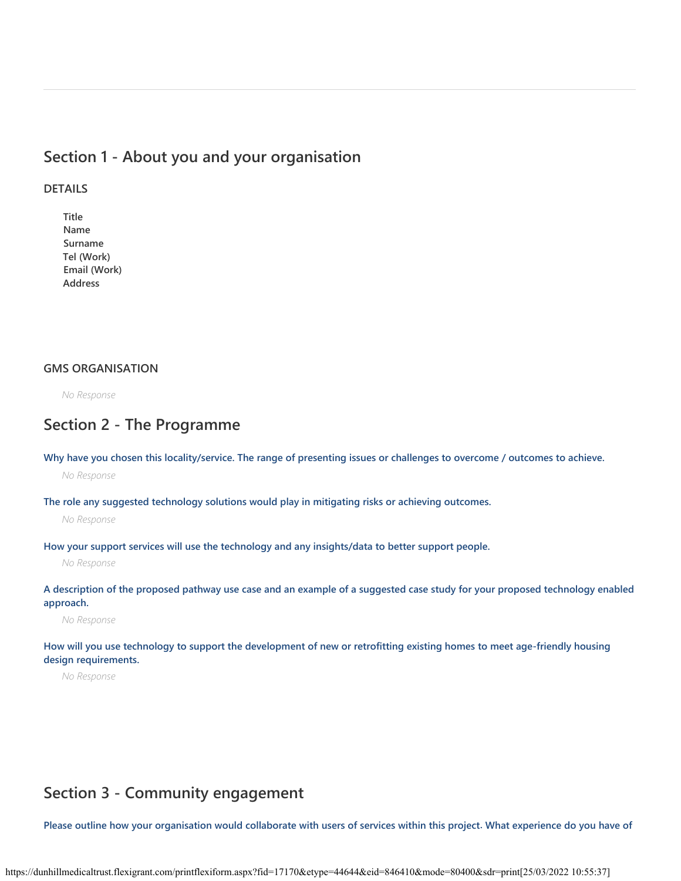## **Section 1 - About you and your organisation**

### **DETAILS**

**Title Name Surname Tel (Work) Email (Work) Address**

### **GMS ORGANISATION**

*No Response*

## **Section 2 - The Programme**

**Why have you chosen this locality/service. The range of presenting issues or challenges to overcome / outcomes to achieve.**

*No Response*

**The role any suggested technology solutions would play in mitigating risks or achieving outcomes.**

*No Response*

**How your support services will use the technology and any insights/data to better support people.**

*No Response*

**A description of the proposed pathway use case and an example of a suggested case study for your proposed technology enabled approach.**

*No Response*

**How will you use technology to support the development of new or retrofitting existing homes to meet age-friendly housing design requirements.**

*No Response*

# **Section 3 - Community engagement**

**Please outline how your organisation would collaborate with users of services within this project. What experience do you have of**